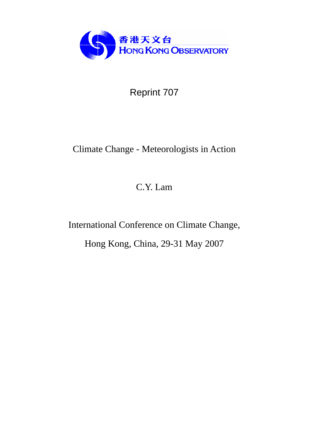

Reprint 707

# Climate Change - Meteorologists in Action

C.Y. Lam

International Conference on Climate Change,

Hong Kong, China, 29-31 May 2007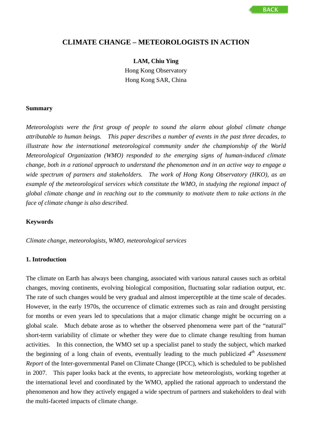# **CLIMATE CHANGE – METEOROLOGISTS IN ACTION**

**LAM, Chiu Ying**  Hong Kong Observatory Hong Kong SAR, China

#### **Summary**

*Meteorologists were the first group of people to sound the alarm about global climate change attributable to human beings. This paper describes a number of events in the past three decades, to illustrate how the international meteorological community under the championship of the World Meteorological Organization (WMO) responded to the emerging signs of human-induced climate change, both in a rational approach to understand the phenomenon and in an active way to engage a wide spectrum of partners and stakeholders. The work of Hong Kong Observatory (HKO), as an example of the meteorological services which constitute the WMO, in studying the regional impact of global climate change and in reaching out to the community to motivate them to take actions in the face of climate change is also described.* 

#### **Keywords**

*Climate change, meteorologists, WMO, meteorological services*

## **1. Introduction**

The climate on Earth has always been changing, associated with various natural causes such as orbital changes, moving continents, evolving biological composition, fluctuating solar radiation output, etc. The rate of such changes would be very gradual and almost imperceptible at the time scale of decades. However, in the early 1970s, the occurrence of climatic extremes such as rain and drought persisting for months or even years led to speculations that a major climatic change might be occurring on a global scale. Much debate arose as to whether the observed phenomena were part of the "natural" short-term variability of climate or whether they were due to climate change resulting from human activities. In this connection, the WMO set up a specialist panel to study the subject, which marked the beginning of a long chain of events, eventually leading to the much publicized *4th Assessment Report* of the Inter-governmental Panel on Climate Change (IPCC), which is scheduled to be published in 2007. This paper looks back at the events, to appreciate how meteorologists, working together at the international level and coordinated by the WMO, applied the rational approach to understand the phenomenon and how they actively engaged a wide spectrum of partners and stakeholders to deal with the multi-faceted impacts of climate change.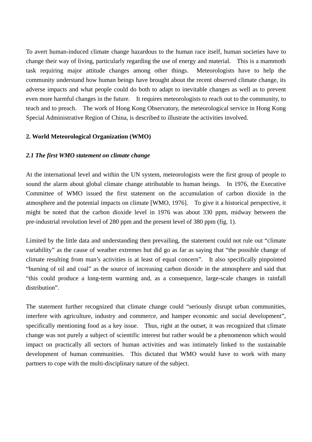To avert human-induced climate change hazardous to the human race itself, human societies have to change their way of living, particularly regarding the use of energy and material. This is a mammoth task requiring major attitude changes among other things. Meteorologists have to help the community understand how human beings have brought about the recent observed climate change, its adverse impacts and what people could do both to adapt to inevitable changes as well as to prevent even more harmful changes in the future. It requires meteorologists to reach out to the community, to teach and to preach. The work of Hong Kong Observatory, the meteorological service in Hong Kong Special Administrative Region of China, is described to illustrate the activities involved.

# **2. World Meteorological Organization (WMO)**

## *2.1 The first WMO statement on climate change*

At the international level and within the UN system, meteorologists were the first group of people to sound the alarm about global climate change attributable to human beings. In 1976, the Executive Committee of WMO issued the first statement on the accumulation of carbon dioxide in the atmosphere and the potential impacts on climate [WMO, 1976]. To give it a historical perspective, it might be noted that the carbon dioxide level in 1976 was about 330 ppm, midway between the pre-industrial revolution level of 280 ppm and the present level of 380 ppm (fig. 1).

Limited by the little data and understanding then prevailing, the statement could not rule out "climate variability" as the cause of weather extremes but did go as far as saying that "the possible change of climate resulting from man's activities is at least of equal concern". It also specifically pinpointed "burning of oil and coal" as the source of increasing carbon dioxide in the atmosphere and said that "this could produce a long-term warming and, as a consequence, large-scale changes in rainfall distribution".

The statement further recognized that climate change could "seriously disrupt urban communities, interfere with agriculture, industry and commerce, and hamper economic and social development", specifically mentioning food as a key issue. Thus, right at the outset, it was recognized that climate change was not purely a subject of scientific interest but rather would be a phenomenon which would impact on practically all sectors of human activities and was intimately linked to the sustainable development of human communities. This dictated that WMO would have to work with many partners to cope with the multi-disciplinary nature of the subject.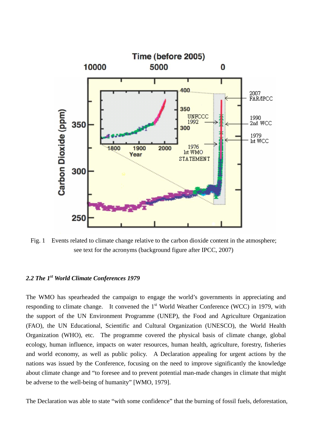

Fig. 1 Events related to climate change relative to the carbon dioxide content in the atmosphere; see text for the acronyms (background figure after IPCC, 2007)

# *2.2 The 1st World Climate Conferences 1979*

The WMO has spearheaded the campaign to engage the world's governments in appreciating and responding to climate change. It convened the 1<sup>st</sup> World Weather Conference (WCC) in 1979, with the support of the UN Environment Programme (UNEP), the Food and Agriculture Organization (FAO), the UN Educational, Scientific and Cultural Organization (UNESCO), the World Health Organization (WHO), etc. The programme covered the physical basis of climate change, global ecology, human influence, impacts on water resources, human health, agriculture, forestry, fisheries and world economy, as well as public policy. A Declaration appealing for urgent actions by the nations was issued by the Conference, focusing on the need to improve significantly the knowledge about climate change and "to foresee and to prevent potential man-made changes in climate that might be adverse to the well-being of humanity" [WMO, 1979].

The Declaration was able to state "with some confidence" that the burning of fossil fuels, deforestation,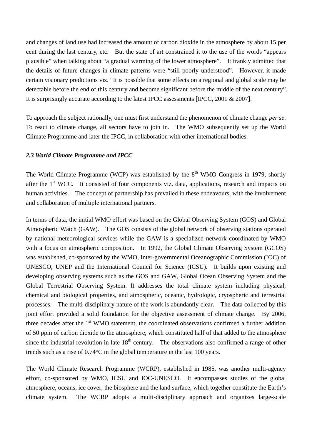and changes of land use had increased the amount of carbon dioxide in the atmosphere by about 15 per cent during the last century, etc. But the state of art constrained it to the use of the words "appears plausible" when talking about "a gradual warming of the lower atmosphere". It frankly admitted that the details of future changes in climate patterns were "still poorly understood". However, it made certain visionary predictions viz. "It is possible that some effects on a regional and global scale may be detectable before the end of this century and become significant before the middle of the next century". It is surprisingly accurate according to the latest IPCC assessments [IPCC, 2001 & 2007].

To approach the subject rationally, one must first understand the phenomenon of climate change *per se*. To react to climate change, all sectors have to join in. The WMO subsequently set up the World Climate Programme and later the IPCC, in collaboration with other international bodies.

#### *2.3 World Climate Programme and IPCC*

The World Climate Programme (WCP) was established by the  $8<sup>th</sup>$  WMO Congress in 1979, shortly after the  $1<sup>st</sup> WCC$ . It consisted of four components viz. data, applications, research and impacts on human activities. The concept of partnership has prevailed in these endeavours, with the involvement and collaboration of multiple international partners.

In terms of data, the initial WMO effort was based on the Global Observing System (GOS) and Global Atmospheric Watch (GAW). The GOS consists of the global network of observing stations operated by national meteorological services while the GAW is a specialized network coordinated by WMO with a focus on atmospheric composition. In 1992, the Global Climate Observing System (GCOS) was established, co-sponsored by the WMO, Inter-governmental Oceanographic Commission (IOC) of UNESCO, UNEP and the International Council for Science (ICSU). It builds upon existing and developing observing systems such as the GOS and GAW, Global Ocean Observing System and the Global Terrestrial Observing System. It addresses the total climate system including physical, chemical and biological properties, and atmospheric, oceanic, hydrologic, cryospheric and terrestrial processes. The multi-disciplinary nature of the work is abundantly clear. The data collected by this joint effort provided a solid foundation for the objective assessment of climate change. By 2006, three decades after the  $1<sup>st</sup>$  WMO statement, the coordinated observations confirmed a further addition of 50 ppm of carbon dioxide to the atmosphere, which constituted half of that added to the atmosphere since the industrial revolution in late  $18<sup>th</sup>$  century. The observations also confirmed a range of other trends such as a rise of 0.74°C in the global temperature in the last 100 years.

The World Climate Research Programme (WCRP), established in 1985, was another multi-agency effort, co-sponsored by WMO, ICSU and IOC-UNESCO. It encompasses studies of the global atmosphere, oceans, ice cover, the biosphere and the land surface, which together constitute the Earth's climate system. The WCRP adopts a multi-disciplinary approach and organizes large-scale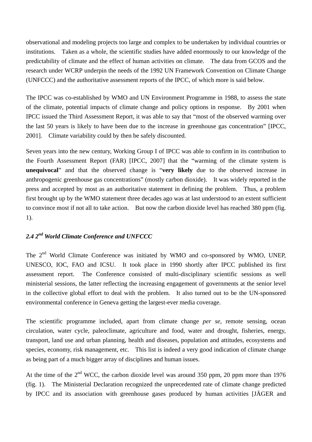observational and modeling projects too large and complex to be undertaken by individual countries or institutions. Taken as a whole, the scientific studies have added enormously to our knowledge of the predictability of climate and the effect of human activities on climate. The data from GCOS and the research under WCRP underpin the needs of the 1992 UN Framework Convention on Climate Change (UNFCCC) and the authoritative assessment reports of the IPCC, of which more is said below.

The IPCC was co-established by WMO and UN Environment Programme in 1988, to assess the state of the climate, potential impacts of climate change and policy options in response. By 2001 when IPCC issued the Third Assessment Report, it was able to say that "most of the observed warming over the last 50 years is likely to have been due to the increase in greenhouse gas concentration" [IPCC, 2001]. Climate variability could by then be safely discounted.

Seven years into the new century, Working Group I of IPCC was able to confirm in its contribution to the Fourth Assessment Report (FAR) [IPCC, 2007] that the "warming of the climate system is **unequivocal**" and that the observed change is "**very likely** due to the observed increase in anthropogenic greenhouse gas concentrations" (mostly carbon dioxide). It was widely reported in the press and accepted by most as an authoritative statement in defining the problem. Thus, a problem first brought up by the WMO statement three decades ago was at last understood to an extent sufficient to convince most if not all to take action. But now the carbon dioxide level has reached 380 ppm (fig. 1).

# *2.4 2nd World Climate Conference and UNFCCC*

The 2<sup>nd</sup> World Climate Conference was initiated by WMO and co-sponsored by WMO, UNEP, UNESCO, IOC, FAO and ICSU. It took place in 1990 shortly after IPCC published its first assessment report. The Conference consisted of multi-disciplinary scientific sessions as well ministerial sessions, the latter reflecting the increasing engagement of governments at the senior level in the collective global effort to deal with the problem. It also turned out to be the UN-sponsored environmental conference in Geneva getting the largest-ever media coverage.

The scientific programme included, apart from climate change *per se*, remote sensing, ocean circulation, water cycle, paleoclimate, agriculture and food, water and drought, fisheries, energy, transport, land use and urban planning, health and diseases, population and attitudes, ecosystems and species, economy, risk management, etc. This list is indeed a very good indication of climate change as being part of a much bigger array of disciplines and human issues.

At the time of the  $2<sup>nd</sup>$  WCC, the carbon dioxide level was around 350 ppm, 20 ppm more than 1976 (fig. 1). The Ministerial Declaration recognized the unprecedented rate of climate change predicted by IPCC and its association with greenhouse gases produced by human activities [JÄGER and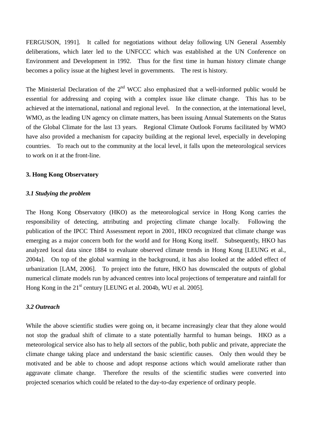FERGUSON, 1991]. It called for negotiations without delay following UN General Assembly deliberations, which later led to the UNFCCC which was established at the UN Conference on Environment and Development in 1992. Thus for the first time in human history climate change becomes a policy issue at the highest level in governments. The rest is history.

The Ministerial Declaration of the  $2<sup>nd</sup>$  WCC also emphasized that a well-informed public would be essential for addressing and coping with a complex issue like climate change. This has to be achieved at the international, national and regional level. In the connection, at the international level, WMO, as the leading UN agency on climate matters, has been issuing Annual Statements on the Status of the Global Climate for the last 13 years. Regional Climate Outlook Forums facilitated by WMO have also provided a mechanism for capacity building at the regional level, especially in developing countries. To reach out to the community at the local level, it falls upon the meteorological services to work on it at the front-line.

#### **3. Hong Kong Observatory**

## *3.1 Studying the problem*

The Hong Kong Observatory (HKO) as the meteorological service in Hong Kong carries the responsibility of detecting, attributing and projecting climate change locally. Following the publication of the IPCC Third Assessment report in 2001, HKO recognized that climate change was emerging as a major concern both for the world and for Hong Kong itself. Subsequently, HKO has analyzed local data since 1884 to evaluate observed climate trends in Hong Kong [LEUNG et al., 2004a]. On top of the global warming in the background, it has also looked at the added effect of urbanization [LAM, 2006]. To project into the future, HKO has downscaled the outputs of global numerical climate models run by advanced centres into local projections of temperature and rainfall for Hong Kong in the  $21<sup>st</sup>$  century [LEUNG et al. 2004b, WU et al. 2005].

# *3.2 Outreach*

While the above scientific studies were going on, it became increasingly clear that they alone would not stop the gradual shift of climate to a state potentially harmful to human beings. HKO as a meteorological service also has to help all sectors of the public, both public and private, appreciate the climate change taking place and understand the basic scientific causes. Only then would they be motivated and be able to choose and adopt response actions which would ameliorate rather than aggravate climate change. Therefore the results of the scientific studies were converted into projected scenarios which could be related to the day-to-day experience of ordinary people.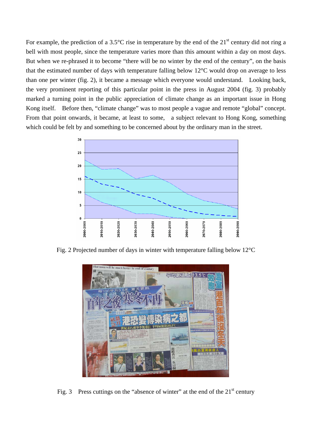For example, the prediction of a 3.5 $\degree$ C rise in temperature by the end of the 21<sup>st</sup> century did not ring a bell with most people, since the temperature varies more than this amount within a day on most days. But when we re-phrased it to become "there will be no winter by the end of the century", on the basis that the estimated number of days with temperature falling below 12°C would drop on average to less than one per winter (fig. 2), it became a message which everyone would understand. Looking back, the very prominent reporting of this particular point in the press in August 2004 (fig. 3) probably marked a turning point in the public appreciation of climate change as an important issue in Hong Kong itself. Before then, "climate change" was to most people a vague and remote "global" concept. From that point onwards, it became, at least to some, a subject relevant to Hong Kong, something which could be felt by and something to be concerned about by the ordinary man in the street.



Fig. 2 Projected number of days in winter with temperature falling below 12°C



Fig. 3 Press cuttings on the "absence of winter" at the end of the  $21<sup>st</sup>$  century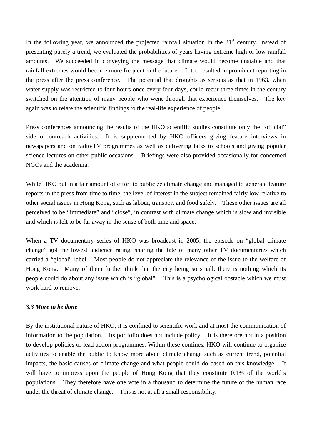In the following year, we announced the projected rainfall situation in the  $21<sup>st</sup>$  century. Instead of presenting purely a trend, we evaluated the probabilities of years having extreme high or low rainfall amounts. We succeeded in conveying the message that climate would become unstable and that rainfall extremes would become more frequent in the future. It too resulted in prominent reporting in the press after the press conference. The potential that droughts as serious as that in 1963, when water supply was restricted to four hours once every four days, could recur three times in the century switched on the attention of many people who went through that experience themselves. The key again was to relate the scientific findings to the real-life experience of people.

Press conferences announcing the results of the HKO scientific studies constitute only the "official" side of outreach activities. It is supplemented by HKO officers giving feature interviews in newspapers and on radio/TV programmes as well as delivering talks to schools and giving popular science lectures on other public occasions. Briefings were also provided occasionally for concerned NGOs and the academia.

While HKO put in a fair amount of effort to publicize climate change and managed to generate feature reports in the press from time to time, the level of interest in the subject remained fairly low relative to other social issues in Hong Kong, such as labour, transport and food safely. These other issues are all perceived to be "immediate" and "close", in contrast with climate change which is slow and invisible and which is felt to be far away in the sense of both time and space.

When a TV documentary series of HKO was broadcast in 2005, the episode on "global climate change" got the lowest audience rating, sharing the fate of many other TV documentaries which carried a "global" label. Most people do not appreciate the relevance of the issue to the welfare of Hong Kong. Many of them further think that the city being so small, there is nothing which its people could do about any issue which is "global". This is a psychological obstacle which we must work hard to remove.

## *3.3 More to be done*

By the institutional nature of HKO, it is confined to scientific work and at most the communication of information to the population. Its portfolio does not include policy. It is therefore not in a position to develop policies or lead action programmes. Within these confines, HKO will continue to organize activities to enable the public to know more about climate change such as current trend, potential impacts, the basic causes of climate change and what people could do based on this knowledge. It will have to impress upon the people of Hong Kong that they constitute 0.1% of the world's populations. They therefore have one vote in a thousand to determine the future of the human race under the threat of climate change. This is not at all a small responsibility.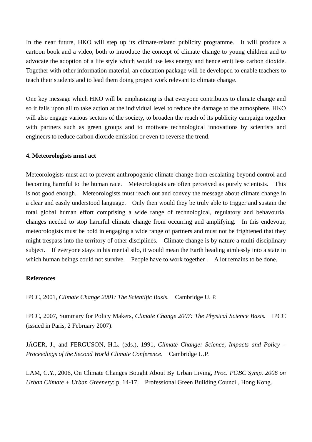In the near future, HKO will step up its climate-related publicity programme. It will produce a cartoon book and a video, both to introduce the concept of climate change to young children and to advocate the adoption of a life style which would use less energy and hence emit less carbon dioxide. Together with other information material, an education package will be developed to enable teachers to teach their students and to lead them doing project work relevant to climate change.

One key message which HKO will be emphasizing is that everyone contributes to climate change and so it falls upon all to take action at the individual level to reduce the damage to the atmosphere. HKO will also engage various sectors of the society, to broaden the reach of its publicity campaign together with partners such as green groups and to motivate technological innovations by scientists and engineers to reduce carbon dioxide emission or even to reverse the trend.

#### **4. Meteorologists must act**

Meteorologists must act to prevent anthropogenic climate change from escalating beyond control and becoming harmful to the human race. Meteorologists are often perceived as purely scientists. This is not good enough. Meteorologists must reach out and convey the message about climate change in a clear and easily understood language. Only then would they be truly able to trigger and sustain the total global human effort comprising a wide range of technological, regulatory and behavourial changes needed to stop harmful climate change from occurring and amplifying. In this endevour, meteorologists must be bold in engaging a wide range of partners and must not be frightened that they might trespass into the territory of other disciplines. Climate change is by nature a multi-disciplinary subject. If everyone stays in his mental silo, it would mean the Earth heading aimlessly into a state in which human beings could not survive. People have to work together . A lot remains to be done.

#### **References**

IPCC, 2001, *Climate Change 2001: The Scientific Basis.* Cambridge U. P.

IPCC, 2007, Summary for Policy Makers, *Climate Change 2007: The Physical Science Basis.* IPCC (issued in Paris, 2 February 2007).

JÄGER, J., and FERGUSON, H.L. (eds.), 1991, *Climate Change: Science, Impacts and Policy – Proceedings of the Second World Climate Conference*. Cambridge U.P.

LAM, C.Y., 2006, On Climate Changes Bought About By Urban Living, *Proc. PGBC Symp. 2006 on Urban Climate + Urban Greenery*: p. 14-17. Professional Green Building Council, Hong Kong.